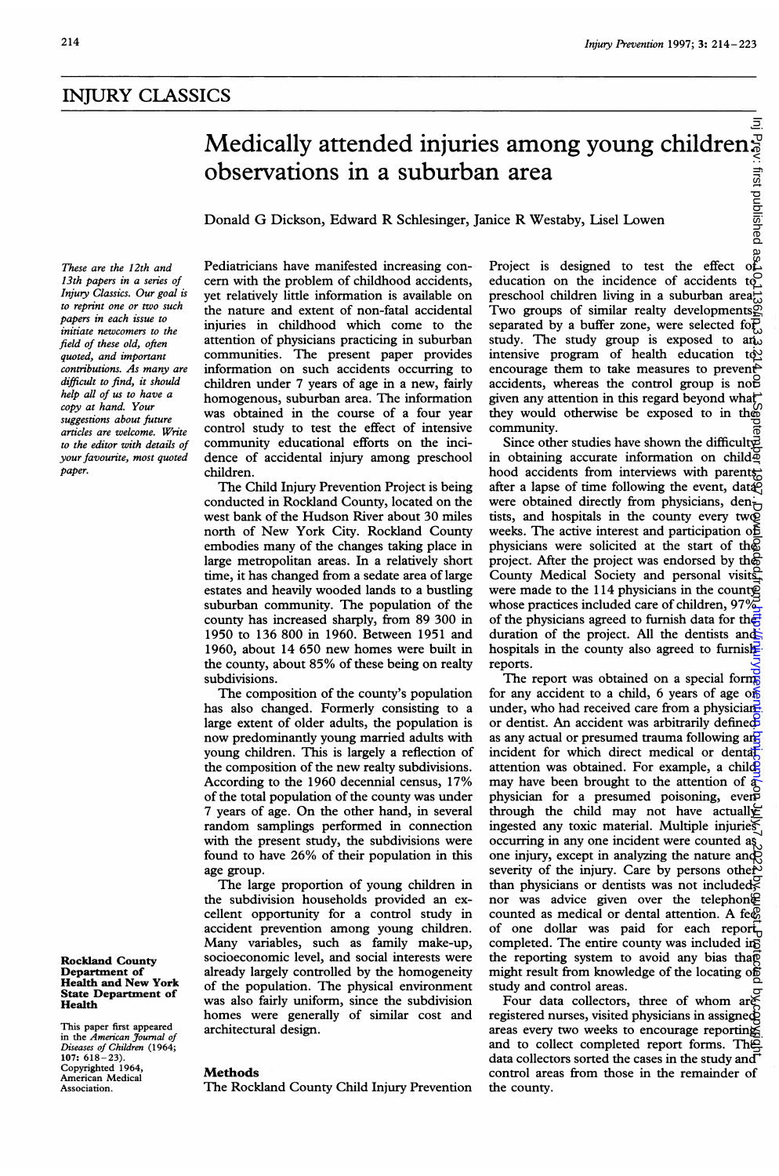# INJURY CLASSICS

# Medically attended injuries among young children:<br>
observations in a suburban area<br>
Donald G Dickson, Edward R Schlesinger, Janice R Westaby, Lisel Lowen<br>
Pediatricians have manifested increasing con-<br>
Project is designed observations in a suburban area

Donald G Dickson, Edward R Schlesinger, Janice R Westaby, Lisel Lowen

These are the 12th and 13th papers in a series of Injury Classics. Our goal is to reprint one or two such papers in each issue to initiate newcomers to the field of these old, often quoted, and important contributions. As many are difficult to find, it should help all of us to have a copy at hand. Your suggestions about future articles are welcome. Write to the editor with details of your favourite, most quoted paper.

Rockland County Department of Health and New York State Department of Health

This paper first appeared in the *American Journal of*<br>Diseases of Children (1964;<br>107: 618–23).<br>Copyrighted 1964,<br>American Medical Association.

Pediatricians have manifested increasing concern with the problem of childhood accidents, yet relatively little information is available on the nature and extent of non-fatal accidental injuries in childhood which come to the attention of physicians practicing in suburban communities. The present paper provides information on such accidents occurring to children under 7 years of age in a new, fairly homogenous, suburban area. The information was obtained in the course of a four year control study to test the effect of intensive community educational efforts on the incidence of accidental injury among preschool children.

The Child Injury Prevention Project is being conducted in Rockland County, located on the west bank of the Hudson River about 30 miles north of New York City. Rockland County embodies many of the changes taking place in large metropolitan areas. In a relatively short time, it has changed from a sedate area of large estates and heavily wooded lands to a bustling suburban community. The population of the county has increased sharply, from 89 300 in 1950 to 136 800 in 1960. Between 1951 and 1960, about 14 650 new homes were built in the county, about 85% of these being on realty subdivisions.

The composition of the county's population has also changed. Formerly consisting to a large extent of older adults, the population is now predominantly young married adults with young children. This is largely a reflection of the composition of the new realty subdivisions. According to the 1960 decennial census, 17% of the total population of the county was under <sup>7</sup> years of age. On the other hand, in several random samplings performed in connection with the present study, the subdivisions were found to have 26% of their population in this age group.

The large proportion of young children in the subdivision households provided an excellent opportunity for a control study in accident prevention among young children. Many variables, such as family make-up, socioeconomic level, and social interests were already largely controlled by the homogeneity of the population. The physical environment was also fairly uniform, since the subdivision homes were generally of similar cost and architectural design.

# **Methods**

The Rockland County Child Injury Prevention

Project is designed to test the effect education on the incidence of accidents to preschool children living in a suburban area $\vec{a}$ Two groups of similar realty developments $\widetilde{\otimes}$ separated by a buffer zone, were selected for study. The study group is exposed to and intensive program of health education  $\mathrm{t}\mathrm{d}\Sigma$ encourage them to take measures to prevent accidents, whereas the control group is not given any attention in this regard beyond what they would otherwise be exposed to in the community.

Since other studies have shown the difficult in obtaining accurate information on child $\Phi$ hood accidents from interviews with parentsafter a lapse of time following the event, datagent were obtained directly from physicians, dentists, and hospitals in the county every two weeks. The active interest and participation of physicians were solicited at the start of the project. After the project was endorsed by the County Medical Society and personal visits were made to the 114 physicians in the county whose practices included care of children,  $97\%$ of the physicians agreed to furnish data for the duration of the project. All the dentists and hospitals in the county also agreed to furnishreports.

The report was obtained on a special forms for any accident to a child, 6 years of age of under, who had received care from a physicianor dentist. An accident was arbitrarily defined as any actual or presumed trauma following and incident for which direct medical or dental attention was obtained. For example, a childmay have been brought to the attention of  $\bar{a}$ physician for a presumed poisoning, even through the child may not have actually ingested any toxic material. Multiple injuries occurring in any one incident were counted  $a_{\lambda}$ , occurring in any one investors  $\overrightarrow{v}$  and  $\overrightarrow{v}$  one injury, except in analyzing the nature and severity of the injury. Care by persons other than physicians or dentists was not included; nor was advice given over the telephon $\oplus$ counted as medical or dental attention. A feed of one dollar was paid for each report completed. The entire county was included in the reporting system to avoid any bias that might result from knowledge of the locating of study and control areas. on July 7, 2022 by guest. Protected by copyright. <http://injuryprevention.bmj.com/> Inj Prev: first published as 10.1136/ip.3.3.214 on 1 September 1997. Downloaded from

Four data collectors, three of whom are registered nurses, visited physicians in assigned areas every two weeks to encourage reporting and to collect completed report forms. The data collectors sorted the cases in the study and control areas from those in the remainder of the county.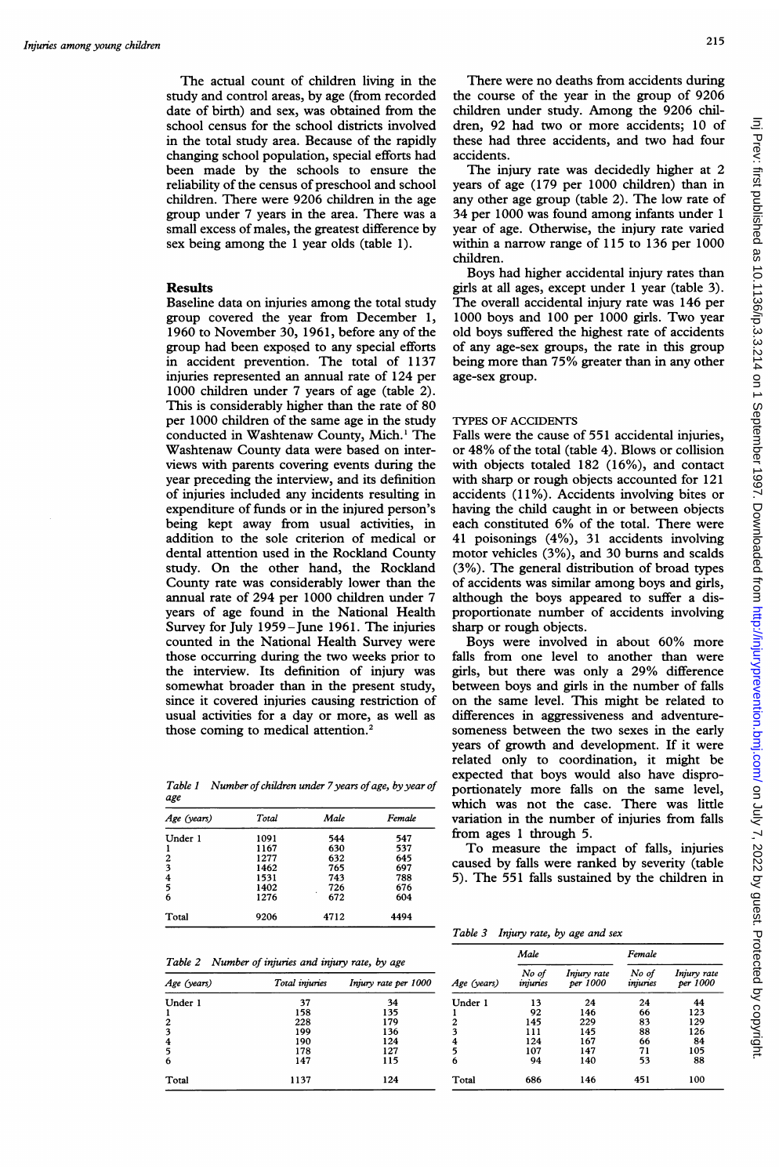The actual count of children living in the study and control areas, by age (from recorded date of birth) and sex, was obtained from the school census for the school districts involved in the total study area. Because of the rapidly changing school population, special efforts had been made by the schools to ensure the reliability of the census of preschool and school children. There were 9206 children in the age group under 7 years in the area. There was a small excess of males, the greatest difference by sex being among the <sup>1</sup> year olds (table 1).

# Results

Baseline data on injuries among the total study group covered the year from December 1, 1960 to November 30, 1961, before any of the group had been exposed to any special efforts in accident prevention. The total of 1137 injuries represented an annual rate of 124 per 1000 children under 7 years of age (table 2). This is considerably higher than the rate of 80 per 1000 children of the same age in the study conducted in Washtenaw County, Mich.<sup>1</sup> The Washtenaw County data were based on interviews with parents covering events during the year preceding the interview, and its definition of injuries included any incidents resulting in expenditure of funds or in the injured person's being kept away from usual activities, in addition to the sole criterion of medical or dental attention used in the Rockland County study. On the other hand, the Rockland County rate was considerably lower than the annual rate of 294 per 1000 children under 7 years of age found in the National Health Survey for July 1959-June 1961. The injuries counted in the National Health Survey were those occurring during the two weeks prior to the interview. Its definition of injury was somewhat broader than in the present study, since it covered injuries causing restriction of usual activities for a day or more, as well as those coming to medical attention.<sup>2</sup>

Table 1 Number of children under 7 years of age, by year of age

| Age (years) | Total | Male     | Female |
|-------------|-------|----------|--------|
| Under 1     | 1091  | 544      | 547    |
|             | 1167  | 630      | 537    |
| 2           | 1277  | 632      | 645    |
| 3           | 1462  | 765      | 697    |
| 4           | 1531  | 743      | 788    |
| 5           | 1402  | 726      | 676    |
| 6           | 1276  | ٠<br>672 | 604    |
| Total       | 9206  | 4712     | 4494   |

Table 2 Number of injuries and injury rate, by age

| Age (years)      | Total injuries | Injury rate per 1000 |
|------------------|----------------|----------------------|
| Under 1          | 37             | 34                   |
| -1               | 158            | 135                  |
| $\boldsymbol{2}$ | 228            | 179                  |
| 3                | 199            | 136                  |
|                  | 190            | 124                  |
| $\frac{4}{5}$    | 178            | 127                  |
| 6                | 147            | 115                  |
| Total            | 1137           | 124                  |

The injury rate was decidedly higher at 2 years of age (179 per 1000 children) than in any other age group (table 2). The low rate of 34 per 1000 was found among infants under <sup>1</sup> year of age. Otherwise, the injury rate varied within a narrow range of 115 to 136 per 1000 children.

Boys had higher accidental injury rates than girls at all ages, except under <sup>1</sup> year (table 3). The overall accidental injury rate was 146 per 1000 boys and 100 per 1000 girls. Two year old boys suffered the highest rate of accidents of any age-sex groups, the rate in this group being more than 75% greater than in any other age-sex group.

# TYPES OF ACCIDENTS

Falls were the cause of 551 accidental injuries, or 48% of the total (table 4). Blows or collision with objects totaled <sup>182</sup> (16%), and contact with sharp or rough objects accounted for 121 accidents (11%). Accidents involving bites or having the child caught in or between objects each constituted 6% of the total. There were 41 poisonings (4%), 31 accidents involving motor vehicles (3%), and 30 burns and scalds (3%). The general distribution of broad types of accidents was similar among boys and girls, although the boys appeared to suffer a disproportionate number of accidents involving sharp or rough objects.

Boys were involved in about 60% more falls from one level to another than were girls, but there was only <sup>a</sup> 29% difference between boys and girls in the number of falls on the same level. This might be related to differences in aggressiveness and adventuresomeness between the two sexes in the early years of growth and development. If it were related only to coordination, it might be expected that boys would also have disproportionately more falls on the same level, which was not the case. There was little variation in the number of injuries from falls from ages <sup>1</sup> through 5.

To measure the impact of falls, injuries caused by falls were ranked by severity (table 5). The 551 falls sustained by the children in

Table 3 Injury rate, by age and sex

|                | Male              |                         | Female            |                         |
|----------------|-------------------|-------------------------|-------------------|-------------------------|
| Age (years)    | No of<br>injuries | Injury rate<br>per 1000 | No of<br>injuries | Injury rate<br>per 1000 |
| Under 1        | 13                | 24                      | 24                | 44                      |
|                | 92                | 146                     | 66                | 123                     |
| $\overline{c}$ | 145               | 229                     | 83                | 129                     |
| 3              | 111               | 145                     | 88                | 126                     |
| 4              | 124               | 167                     | 66                | 84                      |
| 5              | 107               | 147                     | 71                | 105                     |
| 6              | 94                | 140                     | 53                | 88                      |
| Total          | 686               | 146                     | 451               | 100                     |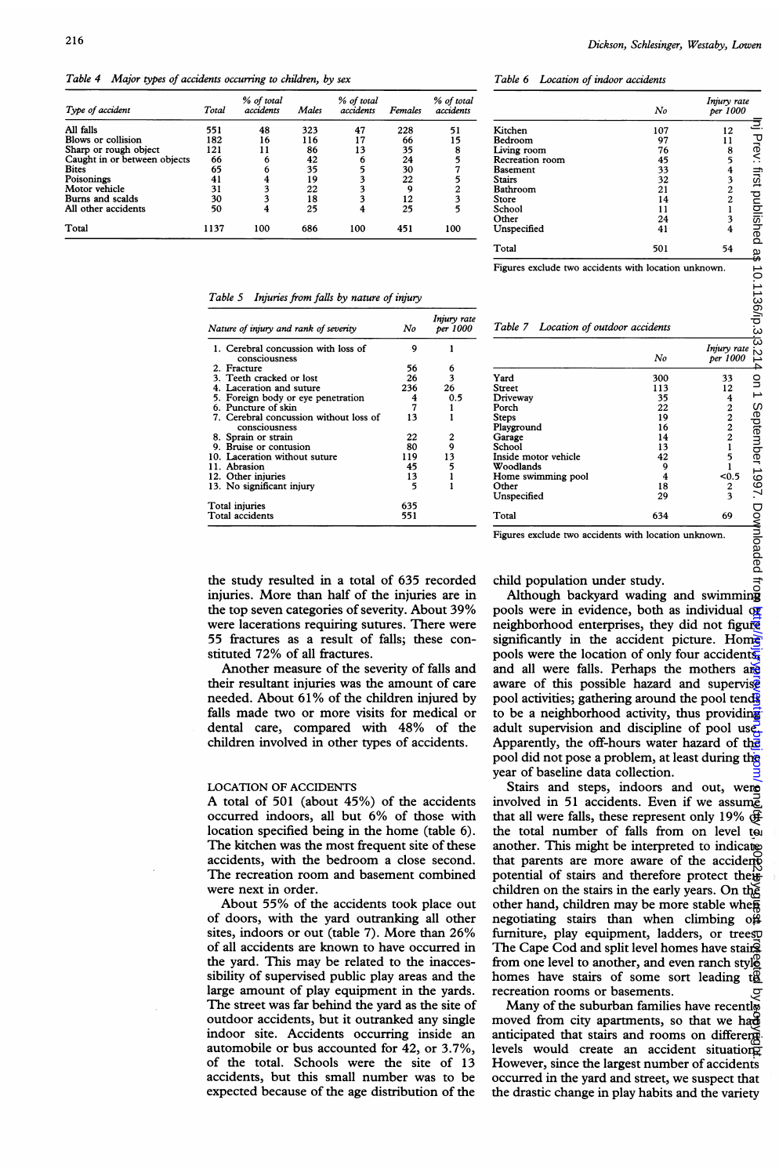Table 4 Major types of accidents occurring to children, by sex

| Type of accident             | Total | % of total<br>accidents | Males | % of total<br>accidents | <b>Females</b> | % of total<br>accidents |
|------------------------------|-------|-------------------------|-------|-------------------------|----------------|-------------------------|
| All falls                    | 551   | 48                      | 323   | 47                      | 228            | 51                      |
| Blows or collision           | 182   | 16                      | 116   | 17                      | 66             | 15                      |
| Sharp or rough object        | 121   | 11                      | 86    | 13                      | 35             | 8                       |
| Caught in or between objects | 66    | 6                       | 42    | 6                       | 24             | 5                       |
| <b>Bites</b>                 | 65    | 6                       | 35    | 5                       | 30             |                         |
| Poisonings                   | 41    | 4                       | 19    |                         | 22             |                         |
| Motor vehicle                | 31    | 3                       | 22    |                         | Q              | $\overline{c}$          |
| Burns and scalds             | 30    | 3                       | 18    |                         | 12             | 3                       |
| All other accidents          | 50    | 4                       | 25    |                         | 25             |                         |
| Total                        | 1137  | 100                     | 686   | 100                     | 451            | 100                     |

## Table 5 Injuries from falls by nature of injury

| Nature of injury and rank of severity                   | No  | Injury rate<br>per 1000 |
|---------------------------------------------------------|-----|-------------------------|
| 1. Cerebral concussion with loss of<br>consciousness    | ۹   |                         |
| 2. Fracture                                             | 56  | 6                       |
| 3. Teeth cracked or lost                                | 26  | 3                       |
| 4. Laceration and suture                                | 236 | 26                      |
| 5. Foreign body or eye penetration                      | 4   | 0.5                     |
| 6. Puncture of skin                                     | 7   |                         |
| 7. Cerebral concussion without loss of<br>consciousness | 13  |                         |
| 8. Sprain or strain                                     | 22  | 2                       |
| 9. Bruise or contusion                                  | 80  | 9                       |
| 10. Laceration without suture                           | 119 | 13                      |
| 11. Abrasion                                            | 45  | 5                       |
| 12. Other injuries                                      | 13  |                         |
| 13. No significant injury                               | 5   |                         |
| Total injuries                                          | 635 |                         |
| Total accidents                                         | 551 |                         |

the study resulted in a total of 635 recorded injuries. More than half of the injuries are in the top seven categories of severity. About 39% were lacerations requiring sutures. There were 55 fractures as a result of falls; these constituted 72% of all fractures.

Another measure of the severity of falls and their resultant injuries was the amount of care needed. About 61% of the children injured by falls made two or more visits for medical or dental care, compared with 48% of the children involved in other types of accidents.

# LOCATION OF ACCIDENTS

A total of <sup>501</sup> (about 45%) of the accidents occurred indoors, all but 6% of those with location specified being in the home (table 6). The kitchen was the most frequent site of these accidents, with the bedroom a close second. The recreation room and basement combined were next in order.

About 55% of the accidents took place out of doors, with the yard outranking all other sites, indoors or out (table 7). More than 26% of all accidents are known to have occurred in the yard. This may be related to the inaccessibility of supervised public play areas and the large amount of play equipment in the yards. The street was far behind the yard as the site of outdoor accidents, but it outranked any single indoor site. Accidents occurring inside an automobile or bus accounted for 42, or 3.7%, of the total. Schools were the site of 13 accidents, but this small number was to be expected because of the age distribution of the

Table 6 Location of indoor accidents

|                 | No  | Injury rate<br>per 1000 |             |  |
|-----------------|-----|-------------------------|-------------|--|
| Kitchen         | 107 | 12                      |             |  |
| Bedroom         | 97  | 11                      |             |  |
| Living room     | 76  | 8                       | Prev: first |  |
| Recreation room | 45  | 5                       |             |  |
| <b>Basement</b> | 33  | 4                       |             |  |
| <b>Stairs</b>   | 32  | $\overline{\mathbf{3}}$ |             |  |
| Bathroom        | 21  | $\frac{2}{2}$           |             |  |
| Store           | 14  |                         |             |  |
| School          | 11  |                         |             |  |
| Other           | 24  | 3                       |             |  |
| Unspecified     | 41  | 4                       | published   |  |
| Total           | 501 | 54                      | Ձ           |  |
|                 |     |                         |             |  |

Figures exclude two accidents with location unknown.

| rigures exclude two accidents with location unknown.<br>Table 7 Location of outdoor accidents |        |                         | 10.1136/ip.3,3.      |
|-----------------------------------------------------------------------------------------------|--------|-------------------------|----------------------|
|                                                                                               | No     | Injury rate<br>per 1000 | ż<br>4               |
| Yard                                                                                          | 300    | 33                      |                      |
| Street                                                                                        | 113    | 12                      |                      |
| Driveway                                                                                      | 35     | 4                       |                      |
| Porch                                                                                         | 22     | $\frac{2}{2}$           |                      |
| Steps                                                                                         | 19     |                         |                      |
| Playground                                                                                    | 16     |                         |                      |
| Garage                                                                                        | 14     | $\overline{c}$          |                      |
| School                                                                                        | 13     | $\mathbf{I}$            |                      |
| Inside motor vehicle                                                                          | 42     | 5                       |                      |
| Woodlands                                                                                     | 9<br>4 | ı<br>$0.5$              |                      |
| Home swimming pool<br>Other                                                                   | 18     |                         |                      |
| Unspecified                                                                                   | 29     | $\frac{2}{3}$           | on 1 September 1997. |
| Total                                                                                         | 634    | 69                      | Do<br>S              |

Figures exclude two accidents with location unknown.

vnloaded

child population under study.

Although backyard wading and swimming pools were in evidence, both as individual  $\sigma$ neighborhood enterprises, they did not figure significantly in the accident picture. Home pools were the location of only four accidents and all were falls. Perhaps the mothers are aware of this possible hazard and supervise pool activities; gathering around the pool tends to be a neighborhood activity, thus providing adult supervision and discipline of pool use. Apparently, the off-hours water hazard of the pool did not pose a problem, at least during the year of baseline data collection.

Stairs and steps, indoors and out, were involved in 51 accidents. Even if we assume that all were falls, these represent only 19%  $\bigoplus$ the total number of falls from on level to another. This might be interpreted to indicate that parents are more aware of the accidents potential of stairs and therefore protect their children on the stairs in the early years. On the other hand, children may be more stable when negotiating stairs than when climbing  $o\hat{H}$ furniture, play equipment, ladders, or treesp The Cape Cod and split level homes have stairs from one level to another, and even ranch styl $\frac{8}{2}$ homes have stairs of some sort leading  $t\mathbf{g}$ recreation rooms or basements. lni Prev: first published as 10.1136/ip.3.13.12.14 on 1 0.00 remed by gright. http://gright.big/ip.3.214 on 2022.by gright. Brev: first published from Brught. Brev: first published from Brught. Brev: first published by gr

Many of the suburban families have recently moved from city apartments, so that we had anticipated that stairs and rooms on different levels would create an accident situation. However, since the largest number of accidents occurred in the yard and street, we suspect that the drastic change in play habits and the variety